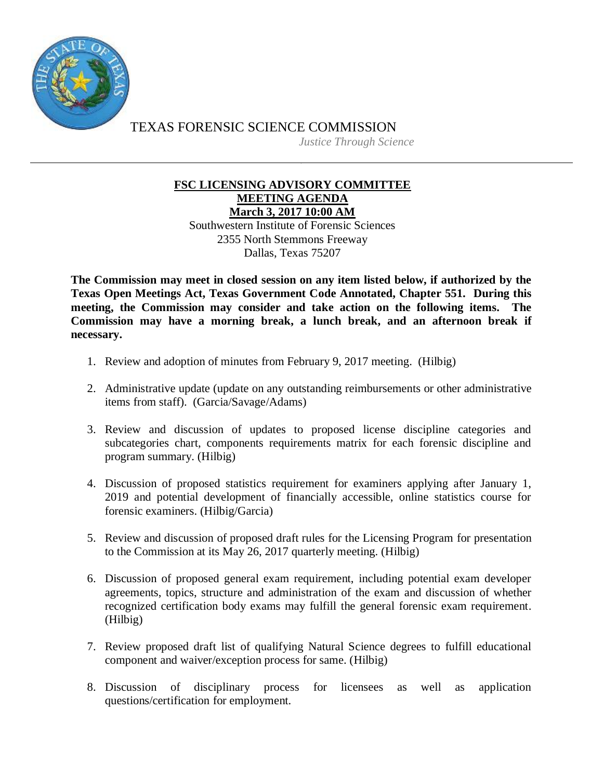

TEXAS FORENSIC SCIENCE COMMISSION *Justice Through Science*

## **FSC LICENSING ADVISORY COMMITTEE MEETING AGENDA March 3, 2017 10:00 AM**

Southwestern Institute of Forensic Sciences 2355 North Stemmons Freeway Dallas, Texas 75207

**The Commission may meet in closed session on any item listed below, if authorized by the Texas Open Meetings Act, Texas Government Code Annotated, Chapter 551. During this meeting, the Commission may consider and take action on the following items. The Commission may have a morning break, a lunch break, and an afternoon break if necessary.**

- 1. Review and adoption of minutes from February 9, 2017 meeting. (Hilbig)
- 2. Administrative update (update on any outstanding reimbursements or other administrative items from staff). (Garcia/Savage/Adams)
- 3. Review and discussion of updates to proposed license discipline categories and subcategories chart, components requirements matrix for each forensic discipline and program summary. (Hilbig)
- 4. Discussion of proposed statistics requirement for examiners applying after January 1, 2019 and potential development of financially accessible, online statistics course for forensic examiners. (Hilbig/Garcia)
- 5. Review and discussion of proposed draft rules for the Licensing Program for presentation to the Commission at its May 26, 2017 quarterly meeting. (Hilbig)
- 6. Discussion of proposed general exam requirement, including potential exam developer agreements, topics, structure and administration of the exam and discussion of whether recognized certification body exams may fulfill the general forensic exam requirement. (Hilbig)
- 7. Review proposed draft list of qualifying Natural Science degrees to fulfill educational component and waiver/exception process for same. (Hilbig)
- 8. Discussion of disciplinary process for licensees as well as application questions/certification for employment.